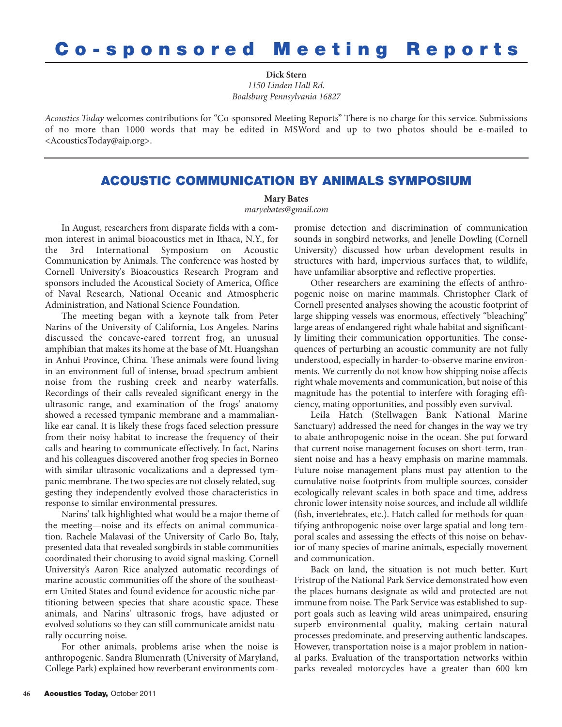## **Co-sponsored Meeting Reports**

**Dick Stern** *1150 Linden Hall Rd. Boalsburg Pennsylvania 16827*

*Acoustics Today* welcomes contributions for "Co-sponsored Meeting Reports" There is no charge for this service. Submissions of no more than 1000 words that may be edited in MSWord and up to two photos should be e-mailed to <AcousticsToday@aip.org>.

## **ACOUSTIC COMMUNICATION BY ANIMALS SYMPOSIUM**

**Mary Bates**

*maryebates@gmail.com*

In August, researchers from disparate fields with a common interest in animal bioacoustics met in Ithaca, N.Y., for the 3rd International Symposium on Acoustic Communication by Animals. The conference was hosted by Cornell University's Bioacoustics Research Program and sponsors included the Acoustical Society of America, Office of Naval Research, National Oceanic and Atmospheric Administration, and National Science Foundation.

The meeting began with a keynote talk from Peter Narins of the University of California, Los Angeles. Narins discussed the concave-eared torrent frog, an unusual amphibian that makes its home at the base of Mt. Huangshan in Anhui Province, China. These animals were found living in an environment full of intense, broad spectrum ambient noise from the rushing creek and nearby waterfalls. Recordings of their calls revealed significant energy in the ultrasonic range, and examination of the frogs' anatomy showed a recessed tympanic membrane and a mammalianlike ear canal. It is likely these frogs faced selection pressure from their noisy habitat to increase the frequency of their calls and hearing to communicate effectively. In fact, Narins and his colleagues discovered another frog species in Borneo with similar ultrasonic vocalizations and a depressed tympanic membrane. The two species are not closely related, suggesting they independently evolved those characteristics in response to similar environmental pressures.

Narins' talk highlighted what would be a major theme of the meeting—noise and its effects on animal communication. Rachele Malavasi of the University of Carlo Bo, Italy, presented data that revealed songbirds in stable communities coordinated their chorusing to avoid signal masking. Cornell University's Aaron Rice analyzed automatic recordings of marine acoustic communities off the shore of the southeastern United States and found evidence for acoustic niche partitioning between species that share acoustic space. These animals, and Narins' ultrasonic frogs, have adjusted or evolved solutions so they can still communicate amidst naturally occurring noise.

For other animals, problems arise when the noise is anthropogenic. Sandra Blumenrath (University of Maryland, College Park) explained how reverberant environments compromise detection and discrimination of communication sounds in songbird networks, and Jenelle Dowling (Cornell University) discussed how urban development results in structures with hard, impervious surfaces that, to wildlife, have unfamiliar absorptive and reflective properties.

Other researchers are examining the effects of anthropogenic noise on marine mammals. Christopher Clark of Cornell presented analyses showing the acoustic footprint of large shipping vessels was enormous, effectively "bleaching" large areas of endangered right whale habitat and significantly limiting their communication opportunities. The consequences of perturbing an acoustic community are not fully understood, especially in harder-to-observe marine environments. We currently do not know how shipping noise affects right whale movements and communication, but noise of this magnitude has the potential to interfere with foraging efficiency, mating opportunities, and possibly even survival.

Leila Hatch (Stellwagen Bank National Marine Sanctuary) addressed the need for changes in the way we try to abate anthropogenic noise in the ocean. She put forward that current noise management focuses on short-term, transient noise and has a heavy emphasis on marine mammals. Future noise management plans must pay attention to the cumulative noise footprints from multiple sources, consider ecologically relevant scales in both space and time, address chronic lower intensity noise sources, and include all wildlife (fish, invertebrates, etc.). Hatch called for methods for quantifying anthropogenic noise over large spatial and long temporal scales and assessing the effects of this noise on behavior of many species of marine animals, especially movement and communication.

Back on land, the situation is not much better. Kurt Fristrup of the National Park Service demonstrated how even the places humans designate as wild and protected are not immune from noise. The Park Service was established to support goals such as leaving wild areas unimpaired, ensuring superb environmental quality, making certain natural processes predominate, and preserving authentic landscapes. However, transportation noise is a major problem in national parks. Evaluation of the transportation networks within parks revealed motorcycles have a greater than 600 km